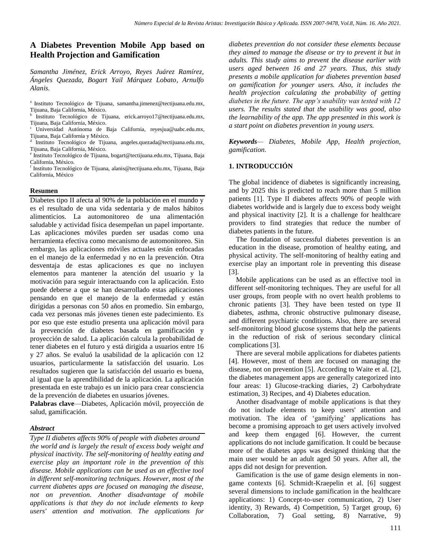# **A Diabetes Prevention Mobile App based on Health Projection and Gamification**

*Samantha Jiménez, Erick Arroyo, Reyes Juárez Ramírez, Ángeles Quezada, Bogart Yail Márquez Lobato, Arnulfo Alanis.*

a Instituto Tecnológico de Tijuana, samantha.jimenez@tectijuana.edu.mx, Tijuana, Baja California, México.

Instituto Tecnológico de Tijuana, erick.arroyo17@tectijuana.edu.mx, Tijuana, Baja California, México.

c Universidad Autónoma de Baja California, reyesjua@uabc.edu.mx, Tijuana, Baja California y México.

d Instituto Tecnológico de Tijuana, angeles.quezada@tectijuana.edu.mx, Tijuana, Baja California, México.

e Instituto Tecnológico de Tijuana, bogart@tectijuana.edu.mx, Tijuana, Baja California, México.

f Instituto Tecnológico de Tijuana, alanis@tectijuana.edu.mx, Tijuana, Baja California, México

### **Resumen**

Diabetes tipo II afecta al 90% de la población en el mundo y es el resultado de una vida sedentaria y de malos hábitos alimenticios. La automonitoreo de una alimentación saludable y actividad física desempeñan un papel importante. Las aplicaciones móviles pueden ser usadas como una herramienta efectiva como mecanismo de automonitoreo. Sin embargo, las aplicaciones móviles actuales están enfocadas en el manejo de la enfermedad y no en la prevención. Otra desventaja de estas aplicaciones es que no incluyen elementos para mantener la atención del usuario y la motivación para seguir interactuando con la aplicación. Esto puede deberse a que se han desarrollado estas aplicaciones pensando en que el manejo de la enfermedad y están dirigidas a personas con 50 años en promedio. Sin embargo, cada vez personas más jóvenes tienen este padecimiento. Es por eso que este estudio presenta una aplicación móvil para la prevención de diabetes basada en gamificación y proyección de salud. La aplicación calcula la probabilidad de tener diabetes en el futuro y está dirigida a usuarios entre 16 y 27 años. Se evaluó la usabilidad de la aplicación con 12 usuarios, particularmente la satisfacción del usuario. Los resultados sugieren que la satisfacción del usuario es buena, al igual que la aprendibilidad de la aplicación. La aplicación presentada en este trabajo es un inicio para crear consciencia de la prevención de diabetes en usuarios jóvenes.

**Palabras clave**—Diabetes, Aplicación móvil, proyección de salud, gamificación.

## *Abstract*

*Type II diabetes affects 90% of people with diabetes around the world and is largely the result of excess body weight and physical inactivity. The self-monitoring of healthy eating and exercise play an important role in the prevention of this disease. Mobile applications can be used as an effective tool in different self-monitoring techniques. However, most of the current diabetes apps are focused on managing the disease, not on prevention. Another disadvantage of mobile applications is that they do not include elements to keep users' attention and motivation. The applications for* 

*diabetes prevention do not consider these elements because they aimed to manage the disease or try to prevent it but in adults. This study aims to prevent the disease earlier with users aged between 16 and 27 years. Thus, this study presents a mobile application for diabetes prevention based on gamification for younger users. Also, it includes the health projection calculating the probability of getting diabetes in the future. The app's usability was tested with 12 users. The results stated that the usability was good, also the learnability of the app. The app presented in this work is a start point on diabetes prevention in young users.*

*Keywords— Diabetes, Mobile App, Health projection, gamification.*

# **1. INTRODUCCIÓN**

The global incidence of diabetes is significantly increasing, and by 2025 this is predicted to reach more than 5 million patients [1]. Type II diabetes affects 90% of people with diabetes worldwide and is largely due to excess body weight and physical inactivity [2]. It is a challenge for healthcare providers to find strategies that reduce the number of diabetes patients in the future.

 The foundation of successful diabetes prevention is an education in the disease, promotion of healthy eating, and physical activity. The self-monitoring of healthy eating and exercise play an important role in preventing this disease [3].

 Mobile applications can be used as an effective tool in different self-monitoring techniques. They are useful for all user groups, from people with no overt health problems to chronic patients [3]. They have been tested on type II diabetes, asthma, chronic obstructive pulmonary disease, and different psychiatric conditions. Also, there are several self-monitoring blood glucose systems that help the patients in the reduction of risk of serious secondary clinical complications [3].

 There are several mobile applications for diabetes patients [4]. However, most of them are focused on managing the disease, not on prevention [5]. According to Waite et al. [2], the diabetes management apps are generally categorized into four areas: 1) Glucose-tracking diaries, 2) Carbohydrate estimation, 3) Recipes, and 4) Diabetes education.

 Another disadvantage of mobile applications is that they do not include elements to keep users' attention and motivation. The idea of 'gamifying' applications has become a promising approach to get users actively involved and keep them engaged [6]. However, the current applications do not include gamification. It could be because more of the diabetes apps was designed thinking that the main user would be an adult aged 50 years. After all, the apps did not design for prevention.

 Gamification is the use of game design elements in nongame contexts [6]. Schmidt-Kraepelin et al. [6] suggest several dimensions to include gamification in the healthcare applications: 1) Concept-to-user communication, 2) User identity, 3) Rewards, 4) Competition, 5) Target group, 6) Collaboration, 7) Goal setting, 8) Narrative, 9)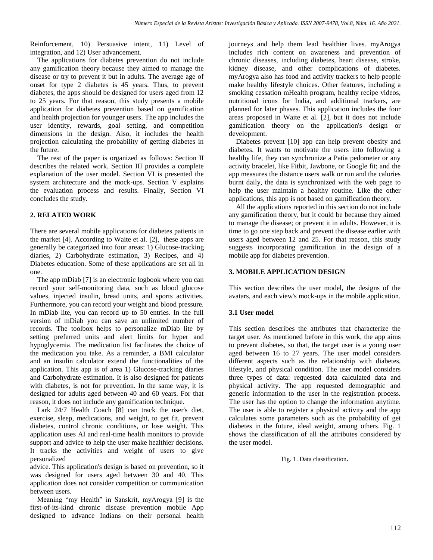Reinforcement, 10) Persuasive intent, 11) Level of integration, and 12) User advancement.

 The applications for diabetes prevention do not include any gamification theory because they aimed to manage the disease or try to prevent it but in adults. The average age of onset for type 2 diabetes is 45 years. Thus, to prevent diabetes, the apps should be designed for users aged from 12 to 25 years. For that reason, this study presents a mobile application for diabetes prevention based on gamification and health projection for younger users. The app includes the user identity, rewards, goal setting, and competition dimensions in the design. Also, it includes the health projection calculating the probability of getting diabetes in the future.

 The rest of the paper is organized as follows: Section II describes the related work. Section III provides a complete explanation of the user model. Section VI is presented the system architecture and the mock-ups. Section V explains the evaluation process and results. Finally, Section VI concludes the study.

# **2. RELATED WORK**

There are several mobile applications for diabetes patients in the market [4]. According to Waite et al. [2], these apps are generally be categorized into four areas: 1) Glucose-tracking diaries, 2) Carbohydrate estimation, 3) Recipes, and 4) Diabetes education. Some of these applications are set all in one.

 The app mDiab [7] is an electronic logbook where you can record your self-monitoring data, such as blood glucose values, injected insulin, bread units, and sports activities. Furthermore, you can record your weight and blood pressure. In mDiab lite, you can record up to 50 entries. In the full version of mDiab you can save an unlimited number of records. The toolbox helps to personalize mDiab lite by setting preferred units and alert limits for hyper and hypoglycemia. The medication list facilitates the choice of the medication you take. As a reminder, a BMI calculator and an insulin calculator extend the functionalities of the application. This app is of area 1) Glucose-tracking diaries and Carbohydrate estimation. It is also designed for patients with diabetes, is not for prevention. In the same way, it is designed for adults aged between 40 and 60 years. For that reason, it does not include any gamification technique.

 Lark 24/7 Health Coach [8] can track the user's diet, exercise, sleep, medications, and weight, to get fit, prevent diabetes, control chronic conditions, or lose weight. This application uses AI and real-time health monitors to provide support and advice to help the user make healthier decisions. It tracks the activities and weight of users to give personalized

advice. This application's design is based on prevention, so it was designed for users aged between 30 and 40. This application does not consider competition or communication between users.

 Meaning "my Health" in Sanskrit, myArogya [9] is the first-of-its-kind chronic disease prevention mobile App designed to advance Indians on their personal health

journeys and help them lead healthier lives. myArogya includes rich content on awareness and prevention of chronic diseases, including diabetes, heart disease, stroke, kidney disease, and other complications of diabetes. myArogya also has food and activity trackers to help people make healthy lifestyle choices. Other features, including a smoking cessation mHealth program, healthy recipe videos, nutritional icons for India, and additional trackers, are planned for later phases. This application includes the four areas proposed in Waite et al. [2], but it does not include gamification theory on the application's design or development.

 Diabetes prevent [10] app can help prevent obesity and diabetes. It wants to motivate the users into following a healthy life, they can synchronize a Patia pedometer or any activity bracelet, like Fitbit, Jawbone, or Google fit; and the app measures the distance users walk or run and the calories burnt daily, the data is synchronized with the web page to help the user maintain a healthy routine. Like the other applications, this app is not based on gamification theory.

 All the applications reported in this section do not include any gamification theory, but it could be because they aimed to manage the disease; or prevent it in adults. However, it is time to go one step back and prevent the disease earlier with users aged between 12 and 25. For that reason, this study suggests incorporating gamification in the design of a mobile app for diabetes prevention.

# **3. MOBILE APPLICATION DESIGN**

This section describes the user model, the designs of the avatars, and each view's mock-ups in the mobile application.

# **3.1 User model**

This section describes the attributes that characterize the target user. As mentioned before in this work, the app aims to prevent diabetes, so that, the target user is a young user aged between 16 to 27 years. The user model considers different aspects such as the relationship with diabetes, lifestyle, and physical condition. The user model considers three types of data: requested data calculated data and physical activity. The app requested demographic and generic information to the user in the registration process. The user has the option to change the information anytime. The user is able to register a physical activity and the app calculates some parameters such as the probability of get diabetes in the future, ideal weight, among others. Fig. 1 shows the classification of all the attributes considered by the user model.

Fig. 1. Data classification.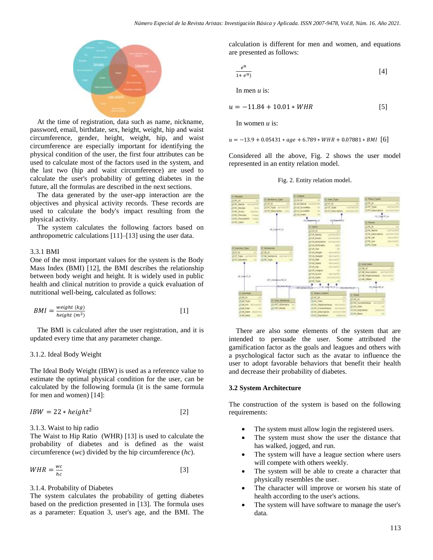

 At the time of registration, data such as name, nickname, password, email, birthdate, sex, height, weight, hip and waist circumference, gender, height, weight, hip, and waist circumference are especially important for identifying the physical condition of the user, the first four attributes can be used to calculate most of the factors used in the system, and the last two (hip and waist circumference) are used to calculate the user's probability of getting diabetes in the future, all the formulas are described in the next sections.

 The data generated by the user-app interaction are the objectives and physical activity records. These records are used to calculate the body's impact resulting from the physical activity.

 The system calculates the following factors based on anthropometric calculations [11]–[13] using the user data.

#### 3.3.1 BMI

One of the most important values for the system is the Body Mass Index (BMI) [12], the BMI describes the relationship between body weight and height. It is widely used in public health and clinical nutrition to provide a quick evaluation of nutritional well-being, calculated as follows:

$$
BMI = \frac{weight\ (kg)}{height\ (m^2)}
$$
 [1]

 The BMI is calculated after the user registration, and it is updated every time that any parameter change.

### 3.1.2. Ideal Body Weight

The Ideal Body Weight (IBW) is used as a reference value to estimate the optimal physical condition for the user, can be calculated by the following formula (it is the same formula for men and women) [14]:

$$
IBW = 22 * height^2
$$
 [2]

#### 3.1.3. Waist to hip radio

The Waist to Hip Ratio (WHR) [13] is used to calculate the probability of diabetes and is defined as the waist circumference (*wc*) divided by the hip circumference (*hc*).

$$
WHR = \frac{wc}{hc}
$$
 [3]

#### 3.1.4. Probability of Diabetes

The system calculates the probability of getting diabetes based on the prediction presented in [13]. The formula uses as a parameter: Equation 3, user's age, and the BMI. The calculation is different for men and women, and equations are presented as follows:

$$
\frac{e^u}{1+e^u}
$$
 [4]

In men *u* is:

$$
u = -11.84 + 10.01 * WHR
$$
 [5]

In women *u* is:

 $u = -13.9 + 0.05431 * age + 6.789 * WHR + 0.07881 * BMI$  [6]

Considered all the above, Fig. 2 shows the user model represented in an entity relation model.





 There are also some elements of the system that are intended to persuade the user. Some attributed the gamification factor as the goals and leagues and others with a psychological factor such as the avatar to influence the user to adopt favorable behaviors that benefit their health and decrease their probability of diabetes.

#### **3.2 System Architecture**

The construction of the system is based on the following requirements:

- The system must allow login the registered users.
- The system must show the user the distance that has walked, jogged, and run.
- The system will have a league section where users will compete with others weekly.
- The system will be able to create a character that physically resembles the user.
- The character will improve or worsen his state of health according to the user's actions.
- The system will have software to manage the user's data.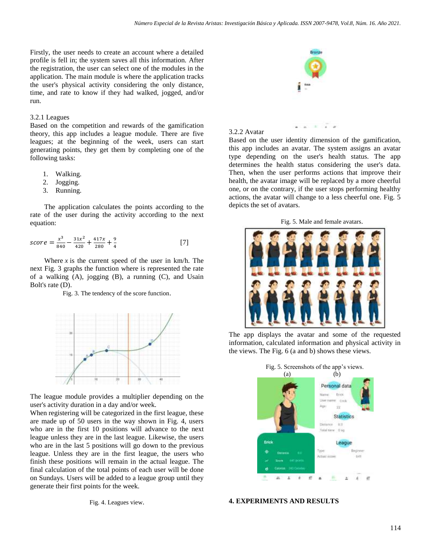Firstly, the user needs to create an account where a detailed profile is fell in; the system saves all this information. After the registration, the user can select one of the modules in the application. The main module is where the application tracks the user's physical activity considering the only distance, time, and rate to know if they had walked, jogged, and/or run.

### 3.2.1 Leagues

Based on the competition and rewards of the gamification theory, this app includes a league module. There are five leagues; at the beginning of the week, users can start generating points, they get them by completing one of the following tasks:

- 1. Walking.
- 2. Jogging.
- 3. Running.

 The application calculates the points according to the rate of the user during the activity according to the next equation:

$$
score = \frac{x^3}{840} - \frac{31x^2}{420} + \frac{417x}{280} + \frac{9}{4}
$$
 [7]

Where  $x$  is the current speed of the user in  $km/h$ . The next Fig. 3 graphs the function where is represented the rate of a walking (A), jogging (B), a running (C), and Usain Bolt's rate (D).

Fig. 3. The tendency of the score function.



The league module provides a multiplier depending on the user's activity duration in a day and/or week.

When registering will be categorized in the first league, these are made up of 50 users in the way shown in Fig. 4, users who are in the first 10 positions will advance to the next league unless they are in the last league. Likewise, the users who are in the last 5 positions will go down to the previous league. Unless they are in the first league, the users who finish these positions will remain in the actual league. The final calculation of the total points of each user will be done on Sundays. Users will be added to a league group until they generate their first points for the week.

Fig. 4. Leagues view.



3.2.2 Avatar

Based on the user identity dimension of the gamification, this app includes an avatar. The system assigns an avatar type depending on the user's health status. The app determines the health status considering the user's data. Then, when the user performs actions that improve their health, the avatar image will be replaced by a more cheerful one, or on the contrary, if the user stops performing healthy actions, the avatar will change to a less cheerful one. Fig. 5 depicts the set of avatars.

 $\sim$ 

÷.

Fig. 5. Male and female avatars.



The app displays the avatar and some of the requested information, calculated information and physical activity in the views. The Fig. 6 (a and b) shows these views.



# **4. EXPERIMENTS AND RESULTS**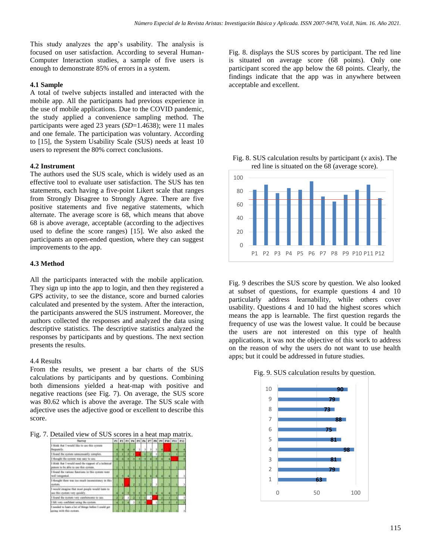This study analyzes the app's usability. The analysis is focused on user satisfaction. According to several Human-Computer Interaction studies, a sample of five users is enough to demonstrate 85% of errors in a system.

## **4.1 Sample**

A total of twelve subjects installed and interacted with the mobile app. All the participants had previous experience in the use of mobile applications. Due to the COVID pandemic, the study applied a convenience sampling method. The participants were aged 23 years (*SD*=1.4638); were 11 males and one female. The participation was voluntary. According to [15], the System Usability Scale (SUS) needs at least 10 users to represent the 80% correct conclusions.

#### **4.2 Instrument**

The authors used the SUS scale, which is widely used as an effective tool to evaluate user satisfaction. The SUS has ten statements, each having a five-point Likert scale that ranges from Strongly Disagree to Strongly Agree. There are five positive statements and five negative statements, which alternate. The average score is 68, which means that above 68 is above average, acceptable (according to the adjectives used to define the score ranges) [15]. We also asked the participants an open-ended question, where they can suggest improvements to the app.

# **4.3 Method**

All the participants interacted with the mobile application. They sign up into the app to login, and then they registered a GPS activity, to see the distance, score and burned calories calculated and presented by the system. After the interaction, the participants answered the SUS instrument. Moreover, the authors collected the responses and analyzed the data using descriptive statistics. The descriptive statistics analyzed the responses by participants and by questions. The next section presents the results.

## 4.4 Results

From the results, we present a bar charts of the SUS calculations by participants and by questions. Combining both dimensions yielded a heat-map with positive and negative reactions (see Fig. 7). On average, the SUS score was 80.62 which is above the average. The SUS scale with adjective uses the adjective good or excellent to describe this score.

Fig. 7. Detailed view of SUS scores in a heat map matrix.

| Survey                                                                                         |  |   |   |  |  |   | P1 22 P3 P4 P5 P6 P7 P8 P9 P16 P11 P12 |  |
|------------------------------------------------------------------------------------------------|--|---|---|--|--|---|----------------------------------------|--|
| I think that I would like to use this system<br>Enquantly.                                     |  |   |   |  |  |   |                                        |  |
| I found the system unnecessarily complex,                                                      |  |   |   |  |  |   |                                        |  |
| I thought the system was vary to use.                                                          |  |   | л |  |  |   |                                        |  |
| I think that I would jurid the tappart of a technical<br>possos to be able to use this system, |  |   |   |  |  |   |                                        |  |
| I fined the various fanctions in this system were<br>wid1 integented.                          |  |   |   |  |  |   |                                        |  |
| I thought their was too much immediatency in this<br>systems                                   |  |   |   |  |  |   |                                        |  |
| I would imagine that razer people would lasm to<br>see this exciters very quickly.             |  |   |   |  |  |   |                                        |  |
| I found the tysters very cambinome to use.                                                     |  | × |   |  |  | п |                                        |  |
| I felt very confident using the certem                                                         |  |   |   |  |  |   |                                        |  |
| I needed to learn a lot of things helier I could get<br>interior of the whole structures.      |  |   |   |  |  |   |                                        |  |

Fig. 8. displays the SUS scores by participant. The red line is situated on average score (68 points). Only one participant scored the app below the 68 points. Clearly, the findings indicate that the app was in anywhere between acceptable and excellent.





Fig. 9 describes the SUS score by question. We also looked at subset of questions, for example questions 4 and 10 particularly address learnability, while others cover usability. Questions 4 and 10 had the highest scores which means the app is learnable. The first question regards the frequency of use was the lowest value. It could be because the users are not interested on this type of health applications, it was not the objective of this work to address on the reason of why the users do not want to use health apps; but it could be addressed in future studies.

Fig. 9. SUS calculation results by question.